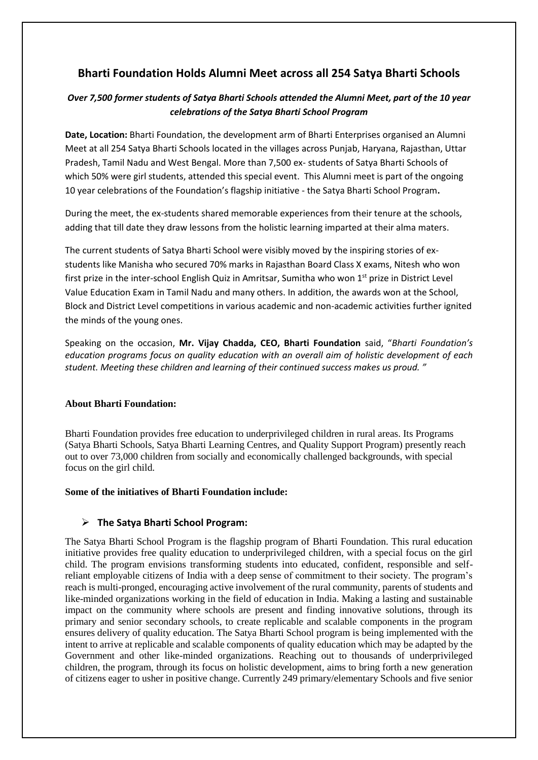# **Bharti Foundation Holds Alumni Meet across all 254 Satya Bharti Schools**

## *Over 7,500 former students of Satya Bharti Schools attended the Alumni Meet, part of the 10 year celebrations of the Satya Bharti School Program*

**Date, Location:** Bharti Foundation, the development arm of Bharti Enterprises organised an Alumni Meet at all 254 Satya Bharti Schools located in the villages across Punjab, Haryana, Rajasthan, Uttar Pradesh, Tamil Nadu and West Bengal. More than 7,500 ex- students of Satya Bharti Schools of which 50% were girl students, attended this special event. This Alumni meet is part of the ongoing 10 year celebrations of the Foundation's flagship initiative - the Satya Bharti School Program**.**

During the meet, the ex-students shared memorable experiences from their tenure at the schools, adding that till date they draw lessons from the holistic learning imparted at their alma maters.

The current students of Satya Bharti School were visibly moved by the inspiring stories of exstudents like Manisha who secured 70% marks in Rajasthan Board Class X exams, Nitesh who won first prize in the inter-school English Quiz in Amritsar, Sumitha who won 1<sup>st</sup> prize in District Level Value Education Exam in Tamil Nadu and many others. In addition, the awards won at the School, Block and District Level competitions in various academic and non-academic activities further ignited the minds of the young ones.

Speaking on the occasion, **Mr. Vijay Chadda, CEO, Bharti Foundation** said, "*Bharti Foundation's education programs focus on quality education with an overall aim of holistic development of each student. Meeting these children and learning of their continued success makes us proud. "*

#### **About Bharti Foundation:**

Bharti Foundation provides free education to underprivileged children in rural areas. Its Programs (Satya Bharti Schools, Satya Bharti Learning Centres, and Quality Support Program) presently reach out to over 73,000 children from socially and economically challenged backgrounds, with special focus on the girl child.

#### **Some of the initiatives of Bharti Foundation include:**

## **The Satya Bharti School Program:**

The Satya Bharti School Program is the flagship program of Bharti Foundation. This rural education initiative provides free quality education to underprivileged children, with a special focus on the girl child. The program envisions transforming students into educated, confident, responsible and selfreliant employable citizens of India with a deep sense of commitment to their society. The program's reach is multi-pronged, encouraging active involvement of the rural community, parents of students and like-minded organizations working in the field of education in India. Making a lasting and sustainable impact on the community where schools are present and finding innovative solutions, through its primary and senior secondary schools, to create replicable and scalable components in the program ensures delivery of quality education. The Satya Bharti School program is being implemented with the intent to arrive at replicable and scalable components of quality education which may be adapted by the Government and other like-minded organizations. Reaching out to thousands of underprivileged children, the program, through its focus on holistic development, aims to bring forth a new generation of citizens eager to usher in positive change. Currently 249 primary/elementary Schools and five senior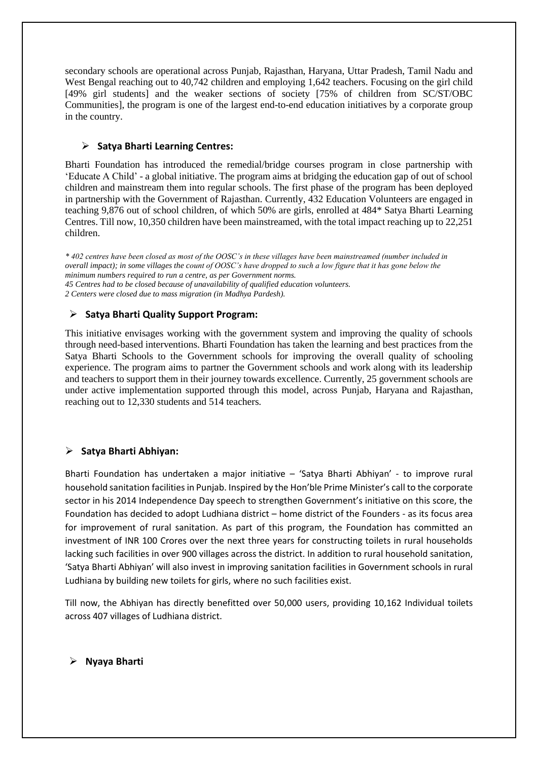secondary schools are operational across Punjab, Rajasthan, Haryana, Uttar Pradesh, Tamil Nadu and West Bengal reaching out to 40,742 children and employing 1,642 teachers. Focusing on the girl child [49% girl students] and the weaker sections of society [75% of children from SC/ST/OBC Communities], the program is one of the largest end-to-end education initiatives by a corporate group in the country.

### **Satya Bharti Learning Centres:**

Bharti Foundation has introduced the remedial/bridge courses program in close partnership with 'Educate A Child' - a global initiative. The program aims at bridging the education gap of out of school children and mainstream them into regular schools. The first phase of the program has been deployed in partnership with the Government of Rajasthan. Currently, 432 Education Volunteers are engaged in teaching 9,876 out of school children, of which 50% are girls, enrolled at 484\* Satya Bharti Learning Centres. Till now, 10,350 children have been mainstreamed, with the total impact reaching up to 22,251 children.

*\* 402 centres have been closed as most of the OOSC's in these villages have been mainstreamed (number included in overall impact); in some villages the count of OOSC's have dropped to such a low figure that it has gone below the minimum numbers required to run a centre, as per Government norms. 45 Centres had to be closed because of unavailability of qualified education volunteers. 2 Centers were closed due to mass migration (in Madhya Pardesh).*

#### **Satya Bharti Quality Support Program:**

This initiative envisages working with the government system and improving the quality of schools through need-based interventions. Bharti Foundation has taken the learning and best practices from the Satya Bharti Schools to the Government schools for improving the overall quality of schooling experience. The program aims to partner the Government schools and work along with its leadership and teachers to support them in their journey towards excellence. Currently, 25 government schools are under active implementation supported through this model, across Punjab, Haryana and Rajasthan, reaching out to 12,330 students and 514 teachers.

## **Satya Bharti Abhiyan:**

Bharti Foundation has undertaken a major initiative – 'Satya Bharti Abhiyan' - to improve rural household sanitation facilities in Punjab. Inspired by the Hon'ble Prime Minister's call to the corporate sector in his 2014 Independence Day speech to strengthen Government's initiative on this score, the Foundation has decided to adopt Ludhiana district – home district of the Founders - as its focus area for improvement of rural sanitation. As part of this program, the Foundation has committed an investment of INR 100 Crores over the next three years for constructing toilets in rural households lacking such facilities in over 900 villages across the district. In addition to rural household sanitation, 'Satya Bharti Abhiyan' will also invest in improving sanitation facilities in Government schools in rural Ludhiana by building new toilets for girls, where no such facilities exist.

Till now, the Abhiyan has directly benefitted over 50,000 users, providing 10,162 Individual toilets across 407 villages of Ludhiana district.

#### **Nyaya Bharti**